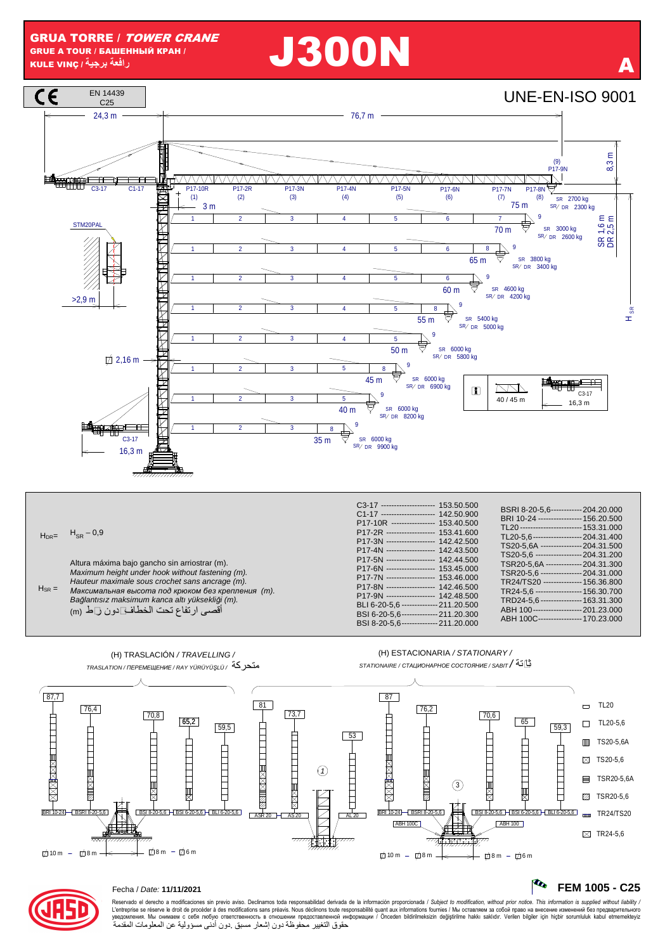



10 m – 12 8 m – — — → 12 8 m – 12 6 m

# Fecha / Date: **11/11/2021 FEM 1005 - C25**

Reservado el derecho a modificaciones sin previo aviso. Declinamos toda responsabilidad derivada de la información proporcionada / Subject to *modification, without prior notice. This information is supplied without liabi* حقوق التغيير محفوظة دون إشعار مسبق .دون أدنى مسؤولية عن المعلومات المقدمة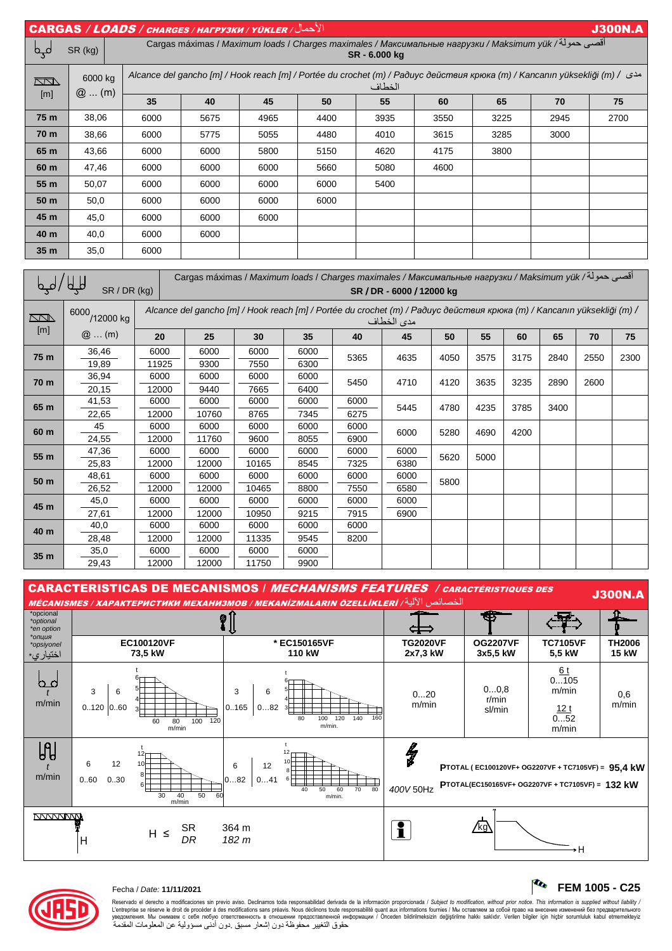| الأحمال/ CARGAS / LOADS / CHARGES / HAFPY3KH / YÜKLER<br><b>J300N.A</b>                                                |                    |                                                                                                                                   |      |      |      |      |      |      |      |      |  |  |
|------------------------------------------------------------------------------------------------------------------------|--------------------|-----------------------------------------------------------------------------------------------------------------------------------|------|------|------|------|------|------|------|------|--|--|
| فہو                                                                                                                    | SR (kg)            | أقصى حمولة/ Cargas máximas / Maximum loads / Charges maximales / Максимальные нагрузки / Maksimum yük<br>SR - 6.000 kg            |      |      |      |      |      |      |      |      |  |  |
| $\sqrt{2}$                                                                                                             | 6000 kg<br>$@$ (m) | Alcance del gancho [m] / Hook reach [m] / Portée du crochet (m) / Радиус действия крюка (m) / Kancanın yüksekliği (m) /<br>الخطاف |      |      |      |      |      |      |      |      |  |  |
| [m]                                                                                                                    |                    | 35                                                                                                                                | 40   | 45   | 50   | 55   | 60   | 65   | 70   | 75   |  |  |
| 75 m                                                                                                                   | 38,06              | 6000                                                                                                                              | 5675 | 4965 | 4400 | 3935 | 3550 | 3225 | 2945 | 2700 |  |  |
| 70 m                                                                                                                   | 38,66              | 6000                                                                                                                              | 5775 | 5055 | 4480 | 4010 | 3615 | 3285 | 3000 |      |  |  |
| 65 m                                                                                                                   | 43,66              | 6000                                                                                                                              | 6000 | 5800 | 5150 | 4620 | 4175 | 3800 |      |      |  |  |
| 60 m                                                                                                                   | 47,46              | 6000                                                                                                                              | 6000 | 6000 | 5660 | 5080 | 4600 |      |      |      |  |  |
| 55 <sub>m</sub>                                                                                                        | 50,07              | 6000                                                                                                                              | 6000 | 6000 | 6000 | 5400 |      |      |      |      |  |  |
| 50 m                                                                                                                   | 50,0               | 6000                                                                                                                              | 6000 | 6000 | 6000 |      |      |      |      |      |  |  |
| 45 m                                                                                                                   | 45,0               | 6000                                                                                                                              | 6000 | 6000 |      |      |      |      |      |      |  |  |
| 40 m                                                                                                                   | 40,0               | 6000                                                                                                                              | 6000 |      |      |      |      |      |      |      |  |  |
| 35 <sub>m</sub>                                                                                                        | 35,0               | 6000                                                                                                                              |      |      |      |      |      |      |      |      |  |  |
| اقصي حمولة/ Cargas máximas / <i>Maximum loads / Charges maximales / Максимальные нагрузки / Maksimum yük</i><br>1/1111 |                    |                                                                                                                                   |      |      |      |      |      |      |      |      |  |  |

| b d.       | ourgao maximao / maximam ioado / Onargoo maximaroo / maxoamanon idiopyoka / makoimam yak / -J - G<br>प्री<br>SR / DR (kg)<br>SR / DR - 6000 / 12000 kg |                                                                                                                                       |       |       |      |              |      |      |      |      |      |      |      |
|------------|--------------------------------------------------------------------------------------------------------------------------------------------------------|---------------------------------------------------------------------------------------------------------------------------------------|-------|-------|------|--------------|------|------|------|------|------|------|------|
| $\sqrt{2}$ | 6000<br>/12000 kg                                                                                                                                      | Alcance del gancho [m] / Hook reach [m] / Portée du crochet (m) / Радиус действия крюка (m) / Kancanın yüksekliği (m) /<br>مدى الخطاف |       |       |      |              |      |      |      |      |      |      |      |
| [m]        | $@$ (m)                                                                                                                                                | 20                                                                                                                                    | 25    | 30    | 35   | 40           | 45   | 50   | 55   | 60   | 65   | 70   | 75   |
| 75 m       | 36,46                                                                                                                                                  | 6000                                                                                                                                  | 6000  | 6000  | 6000 | 5365         | 4635 | 4050 | 3575 | 3175 | 2840 | 2550 | 2300 |
|            | 19,89                                                                                                                                                  | 11925                                                                                                                                 | 9300  | 7550  | 6300 |              |      |      |      |      |      |      |      |
| 70 m       | 36,94                                                                                                                                                  | 6000                                                                                                                                  | 6000  | 6000  | 6000 | 5450<br>4710 |      | 4120 | 3635 | 3235 | 2890 | 2600 |      |
|            | 20,15                                                                                                                                                  | 12000                                                                                                                                 | 9440  | 7665  | 6400 |              |      |      |      |      |      |      |      |
| 65 m       | 41,53                                                                                                                                                  | 6000                                                                                                                                  | 6000  | 6000  | 6000 | 6000         | 5445 | 4780 | 4235 | 3785 | 3400 |      |      |
|            | 22,65                                                                                                                                                  | 12000                                                                                                                                 | 10760 | 8765  | 7345 | 6275         |      |      |      |      |      |      |      |
| 60 m       | 45                                                                                                                                                     | 6000                                                                                                                                  | 6000  | 6000  | 6000 | 6000         | 6000 | 5280 | 4690 | 4200 |      |      |      |
|            | 24,55                                                                                                                                                  | 12000                                                                                                                                 | 11760 | 9600  | 8055 | 6900         |      |      |      |      |      |      |      |
| 55 m       | 47,36                                                                                                                                                  | 6000                                                                                                                                  | 6000  | 6000  | 6000 | 6000         | 6000 | 5620 | 5000 |      |      |      |      |
|            | 25,83                                                                                                                                                  | 12000                                                                                                                                 | 12000 | 10165 | 8545 | 7325         | 6380 |      |      |      |      |      |      |
| 50 m       | 48,61                                                                                                                                                  | 6000                                                                                                                                  | 6000  | 6000  | 6000 | 6000         | 6000 | 5800 |      |      |      |      |      |
|            | 26,52                                                                                                                                                  | 12000                                                                                                                                 | 12000 | 10465 | 8800 | 7550         | 6580 |      |      |      |      |      |      |
| 45 m       | 45,0                                                                                                                                                   | 6000                                                                                                                                  | 6000  | 6000  | 6000 | 6000         | 6000 |      |      |      |      |      |      |
|            | 27,61                                                                                                                                                  | 12000                                                                                                                                 | 12000 | 10950 | 9215 | 7915         | 6900 |      |      |      |      |      |      |
| 40 m       | 40,0                                                                                                                                                   | 6000                                                                                                                                  | 6000  | 6000  | 6000 | 6000         |      |      |      |      |      |      |      |
|            | 28,48                                                                                                                                                  | 12000                                                                                                                                 | 12000 | 11335 | 9545 | 8200         |      |      |      |      |      |      |      |
| 35 m       | 35,0                                                                                                                                                   | 6000                                                                                                                                  | 6000  | 6000  | 6000 |              |      |      |      |      |      |      |      |
|            | 29,43                                                                                                                                                  | 12000                                                                                                                                 | 12000 | 11750 | 9900 |              |      |      |      |      |      |      |      |

CARACTERISTICAS DE MECANISMOS / MECHANISMS FEATURES / CARACTÉRISTIQUES DES UARAC I ERISTICAS DE MECANISMOS / *MECHANISMS PEATORES* / CARACTERISTIQUES DES<br>
MÉCANISMES / ХАРАКТЕРИСТИКИ МЕХАНИЗМОВ / МЕКАNÍZMALARIN ÖZELLÍKLERÍ / الخصائص الإلية / الخصائص الخصائص / anti<br>
"<sub>ten option</sub> | | | | | | | | \*opcional Ф \*optional ⊄⇔ \*en option \**опция* **TG2020VF EC100120VF \* EC150165VF OG2207VF TC7105VF TH2006**  \*opsiyonel **5,5 kW 73,5 kW 110 kW 2x7,3 kW 3x5,5 kW 15 kW**  اختيار ي  $6<sub>t</sub>$ t t 6 <u>b d</u> 0...105 6 0...0,8 5 3 6 3 6 m/min 5 t 0...20 0,6 r/min 4 4 m/min m/min m/min 0..120 0..60  $0.165$   $0.082$ sl/min  $12<sub>t</sub>$ 3 3 ⊏ ₣  $0...52$  $100$  $60 80$  $\frac{1}{100}$  120 80 140 160 m/min. m/min m/min  $J_{\rm H}$ łg t t 12 12 6 12 10 10 6 12 **PTOTAL ( EC100120VF+ OG2207VF + TC7105VF) = 95,4 kW** t 8 m/min 8 **<sup>P</sup>TOTAL(EC150165VF+ OG2207VF + TC7105VF) = 132 kW** 400V 50Hz 0..60 0..30  $0...82$   $0...41$ 6 1 6 40 50 60 70 30 40 50 60 m/min. m/min **NYVYVWW** SR 364 m  $DR$  182 m kg SR 364 m  $H \leq$ H  $\overline{H}$ 



# Fecha / Date: **11/11/2021 FEM 1005 - C25**

Reservado el derecho a modificaciones sin previo aviso. Declinamos toda responsabilidad derivada de la información proporcionada / Subject to *modification, without prior notice. This information is supplied without liab*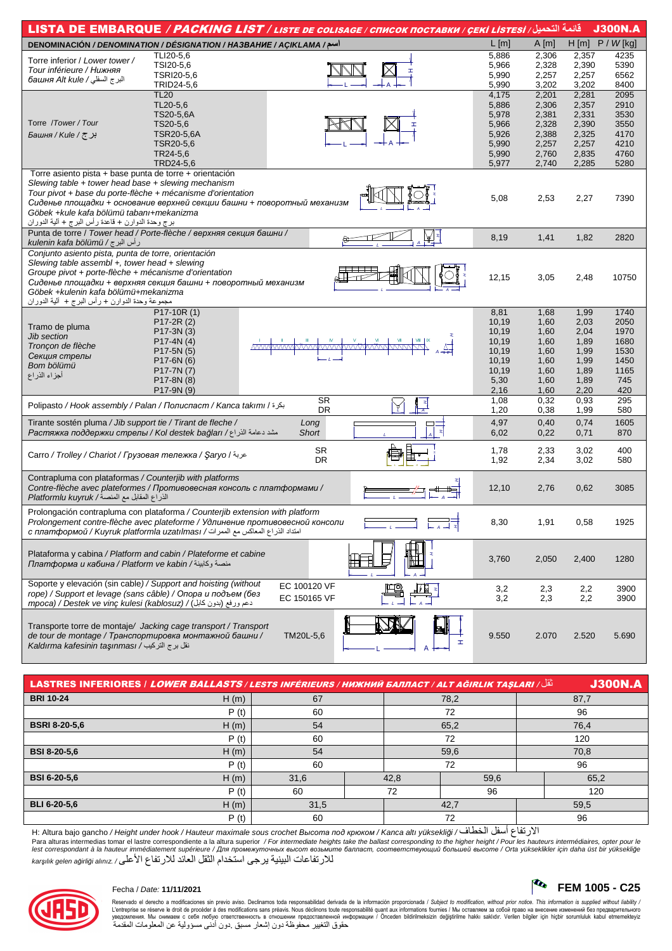|                                                                                                                                                                                                                                                                                                                                                           |                          | قائمة التحميل/ LISTA DE EMBARQUE <i>/ PACKING LIST / LISTE DE COLISAGE / CПИСОК ПОСТАВКИ / ÇEKİ LISTESİ</i>    |                |                |                | <b>J300N.A</b> |
|-----------------------------------------------------------------------------------------------------------------------------------------------------------------------------------------------------------------------------------------------------------------------------------------------------------------------------------------------------------|--------------------------|----------------------------------------------------------------------------------------------------------------|----------------|----------------|----------------|----------------|
| DENOMINACIÓN / DENOMINATION / DÉSIGNATION / HA3BAHUE / AÇIKLAMA /سم/                                                                                                                                                                                                                                                                                      |                          |                                                                                                                | L[m]           | A[m]           | H[m]           | $P / W$ [kg]   |
| Torre inferior / Lower tower /                                                                                                                                                                                                                                                                                                                            | TLI20-5,6                |                                                                                                                | 5,886          | 2,306          | 2,357          | 4235           |
| Tour inférieure / Нижняя                                                                                                                                                                                                                                                                                                                                  | TSI20-5,6                |                                                                                                                | 5,966          | 2,328          | 2,390          | 5390           |
| البرج السفلي / башня Alt kule                                                                                                                                                                                                                                                                                                                             | TSRI20-5,6<br>TRID24-5,6 |                                                                                                                | 5,990          | 2,257          | 2,257          | 6562           |
|                                                                                                                                                                                                                                                                                                                                                           | <b>TL20</b>              |                                                                                                                | 5,990<br>4,175 | 3,202<br>2,201 | 3,202<br>2,281 | 8400<br>2095   |
|                                                                                                                                                                                                                                                                                                                                                           | TL20-5,6                 |                                                                                                                | 5,886          | 2,306          | 2,357          | 2910           |
|                                                                                                                                                                                                                                                                                                                                                           | TS20-5,6A                |                                                                                                                | 5,978          | 2,381          | 2,331          | 3530           |
| Torre / Tower / Tour                                                                                                                                                                                                                                                                                                                                      | TS20-5,6                 |                                                                                                                | 5,966          | 2,328          | 2,390          | 3550           |
| Faшня / Kule / جر ج                                                                                                                                                                                                                                                                                                                                       | <b>TSR20-5,6A</b>        |                                                                                                                | 5,926          | 2,388          | 2,325          | 4170           |
|                                                                                                                                                                                                                                                                                                                                                           | TSR20-5,6                |                                                                                                                | 5,990          | 2,257          | 2,257          | 4210           |
|                                                                                                                                                                                                                                                                                                                                                           | TR24-5,6                 |                                                                                                                | 5,990          | 2,760          | 2,835          | 4760           |
|                                                                                                                                                                                                                                                                                                                                                           | TRD24-5,6                |                                                                                                                | 5,977          | 2,740          | 2,285          | 5280           |
| Torre asiento pista + base punta de torre + orientación<br>Slewing table + tower head base + slewing mechanism<br>Tour pivot + base du porte-flèche + mécanisme d'orientation<br>Сиденье площадки + основание верхней секции башни + поворотный механизм<br>Göbek +kule kafa bölümü tabanı+mekanizma<br>برج وحدة الدوارن + قاعدة رأس البرج + ألية الدوران |                          |                                                                                                                | 5,08           | 2,53           | 2,27           | 7390           |
| Punta de torre / Tower head / Porte-flèche / верхняя секция башни /<br>رأس البرج / kulenin kafa bölümü                                                                                                                                                                                                                                                    |                          |                                                                                                                | 8,19           | 1,41           | 1,82           | 2820           |
| Conjunto asiento pista, punta de torre, orientación<br>Slewing table assembl +, tower head + slewing<br>Groupe pivot + porte-flèche + mécanisme d'orientation<br>Сиденье площадки + верхняя секция башни + поворотный механизм<br>Göbek +kulenin kafa bölümü+mekanizma<br>مجموعة وحدة الدوارن + رأس البرج +  ألية الدوران                                 |                          |                                                                                                                | 12,15          | 3,05           | 2,48           | 10750          |
|                                                                                                                                                                                                                                                                                                                                                           | $P17-10R(1)$             |                                                                                                                | 8,81           | 1,68           | 1,99           | 1740           |
| Tramo de pluma                                                                                                                                                                                                                                                                                                                                            | P17-2R (2)               |                                                                                                                | 10,19          | 1,60           | 2,03           | 2050           |
| Jib section                                                                                                                                                                                                                                                                                                                                               | P17-3N (3)               |                                                                                                                | 10,19          | 1,60           | 2,04           | 1970           |
| Troncon de flèche                                                                                                                                                                                                                                                                                                                                         | P17-4N (4)               | what the top that the top that the top that the top that the top the top the top the top the top the top the t | 10,19          | 1,60           | 1,89           | 1680           |
| Секция стрелы                                                                                                                                                                                                                                                                                                                                             | P17-5N (5)               |                                                                                                                | 10,19          | 1,60           | 1,99           | 1530           |
| Bom bölümü                                                                                                                                                                                                                                                                                                                                                | P17-6N (6)               |                                                                                                                | 10,19<br>10,19 | 1,60           | 1,99           | 1450           |
| أجزاء الذراع                                                                                                                                                                                                                                                                                                                                              | P17-7N (7)<br>P17-8N (8) |                                                                                                                | 5,30           | 1,60<br>1,60   | 1,89<br>1,89   | 1165<br>745    |
|                                                                                                                                                                                                                                                                                                                                                           | P17-9N (9)               |                                                                                                                | 2,16           | 1,60           | 2,20           | 420            |
|                                                                                                                                                                                                                                                                                                                                                           |                          | $\overline{\text{SR}}$<br>$\overline{A}$                                                                       | 1,08           | 0,32           | 0,93           | 295            |
| Polipasto / Hook assembly / Palan / Полиспаст / Kanca takımı / بكرة                                                                                                                                                                                                                                                                                       |                          | DR                                                                                                             | 1,20           | 0,38           | 1,99           | 580            |
| Tirante sostén pluma / Jib support tie / Tirant de fleche /<br>Растяжка поддержки стрелы / Kol destek bağları / المشد دعامة الذراع                                                                                                                                                                                                                        |                          | Long<br><b>Short</b>                                                                                           | 4,97<br>6,02   | 0,40<br>0,22   | 0,74<br>0,71   | 1605<br>870    |
| Carro / Trolley / Chariot / Грузовая тележка / Şaryo / عربة                                                                                                                                                                                                                                                                                               |                          | <b>SR</b><br><b>DR</b>                                                                                         | 1,78<br>1,92   | 2,33<br>2,34   | 3,02<br>3,02   | 400<br>580     |
|                                                                                                                                                                                                                                                                                                                                                           |                          |                                                                                                                |                |                |                |                |
| Contrapluma con plataformas / Counterjib with platforms<br>Contre-flèche avec plateformes / Противовесная консоль с платформами /<br>الذراع المقابل مع المنصة/ Platformlu kuyruk                                                                                                                                                                          |                          |                                                                                                                | 12,10          | 2,76           | 0,62           | 3085           |
| Prolongación contrapluma con plataforma / Counterjib extension with platform<br>Prolongement contre-flèche avec plateforme / Удлинение противовесной консоли<br>امتداد الذراع المعاكس مع الممرات/ C платформой / Kuyruk platformla uzatılması /                                                                                                           |                          |                                                                                                                | 8,30           | 1,91           | 0,58           | 1925           |
| Plataforma y cabina / Platform and cabin / Plateforme et cabine<br>платформа и кабина / Platform ve kabin / منصة وكابينة                                                                                                                                                                                                                                  |                          |                                                                                                                | 3,760          | 2,050          | 2,400          | 1280           |
| Soporte y elevación (sin cable) / Support and hoisting (without<br>rope) / Support et levage (sans câble) / Опора и подъем (без<br>rnpoca) / Destek ve vinc kulesi (kablosuz) / (بدون كابل) / mpoca)                                                                                                                                                      |                          | EC 100120 VF<br>EC 150165 VF                                                                                   | 3,2<br>3,2     | 2,3<br>2,3     | 2,2<br>2,2     | 3900<br>3900   |
| Transporte torre de montaje/ Jacking cage transport / Transport<br>de tour de montage / Транспортировка монтажной башни /<br>Kaldırma kafesinin taşınması / انقل برج التركيب                                                                                                                                                                              |                          | TM20L-5,6<br>H                                                                                                 | 9.550          | 2.070          | 2.520          | 5.690          |

| نْقُل/ LASTRES INFERIORES   LOWER BALLASTS /LESTS INFÉRIEURS / НИЖНИЙ БАЛЛАСТ / ALT AĞIRLIK TAŞLARI |      |      |      |      |     | <b>J300N.A</b> |  |
|-----------------------------------------------------------------------------------------------------|------|------|------|------|-----|----------------|--|
| <b>BRI 10-24</b>                                                                                    | H(m) | 67   |      | 78,2 |     | 87,7           |  |
|                                                                                                     | P(t) | 60   |      | 72   |     | 96             |  |
| <b>BSRI 8-20-5.6</b>                                                                                | H(m) | 54   |      | 65,2 |     | 76,4           |  |
|                                                                                                     | P(t) | 60   | 72   |      | 120 |                |  |
| <b>BSI 8-20-5.6</b>                                                                                 | H(m) | 54   | 59,6 |      |     | 70,8           |  |
|                                                                                                     | P(t) | 60   | 72   |      |     | 96             |  |
| <b>BSI 6-20-5.6</b>                                                                                 | H(m) | 31,6 | 42,8 | 59,6 |     | 65,2           |  |
|                                                                                                     | P(t) | 60   | 72   | 96   |     | 120            |  |
| <b>BLI 6-20-5.6</b>                                                                                 | H(m) | 31,5 |      | 42,7 |     | 59,5           |  |
|                                                                                                     | P(t) | 60   |      | 72   |     | 96             |  |

H: Altura bajo gancho / Height under hook / Hauteur maximale sous crochet *Высота под крюком* / Kanca altı yüksekli*ğ*i / الخطاف أسفل الارتفاع Para alturas intermedias tomar el lastre correspondiente a la altura superior / For intermediate heights take the ballast corresponding to the higher height / Pour les hauteurs intermédiaires, opter pour le<br>lest correspon للارتفاعات البينية يرجى استخدام الثقل العائد للارتفاع الأعلى / .alınız a*ğ*irli*ğ*i gelen kar*ş*ılık



Reservado el derecho a modificaciones sin previo aviso. Declinamos toda responsabilidad derivada de la información proporcionada / Subject to *modification, without prior notice. This information is supplied without liab*